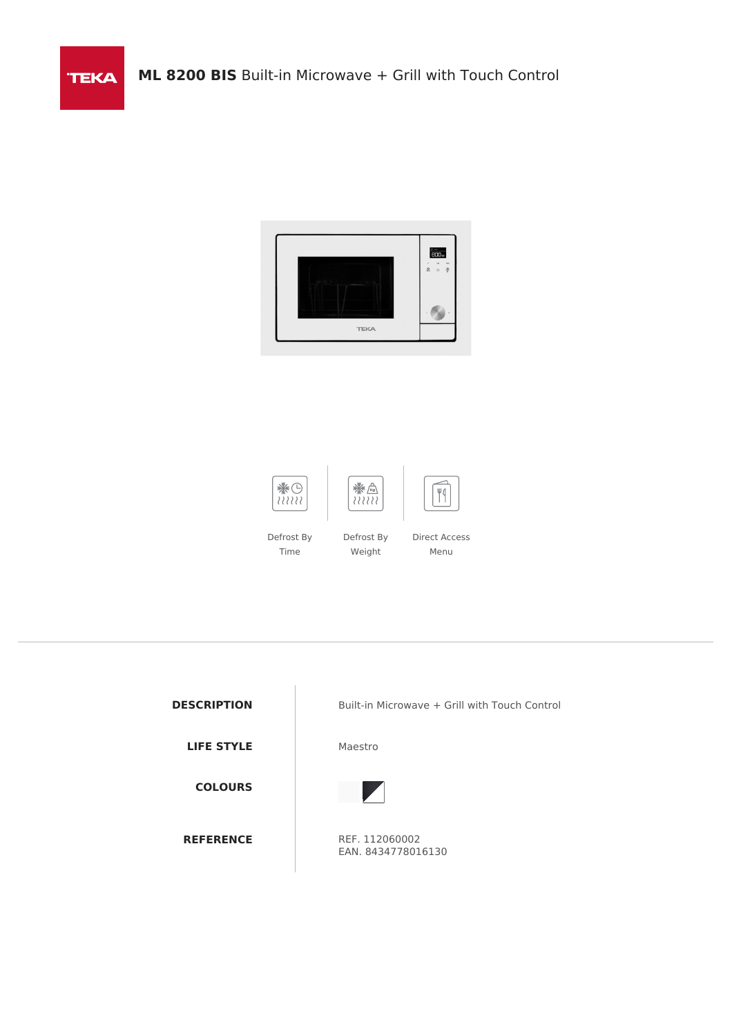



Time

Direct Access Menu

**TEKA** 

**LIFE STYLE** Maestro

**COLOURS**

**DESCRIPTION** Built-in Microwave + Grill with Touch Control



**REFERENCE** REF. 112060002 EAN. 8434778016130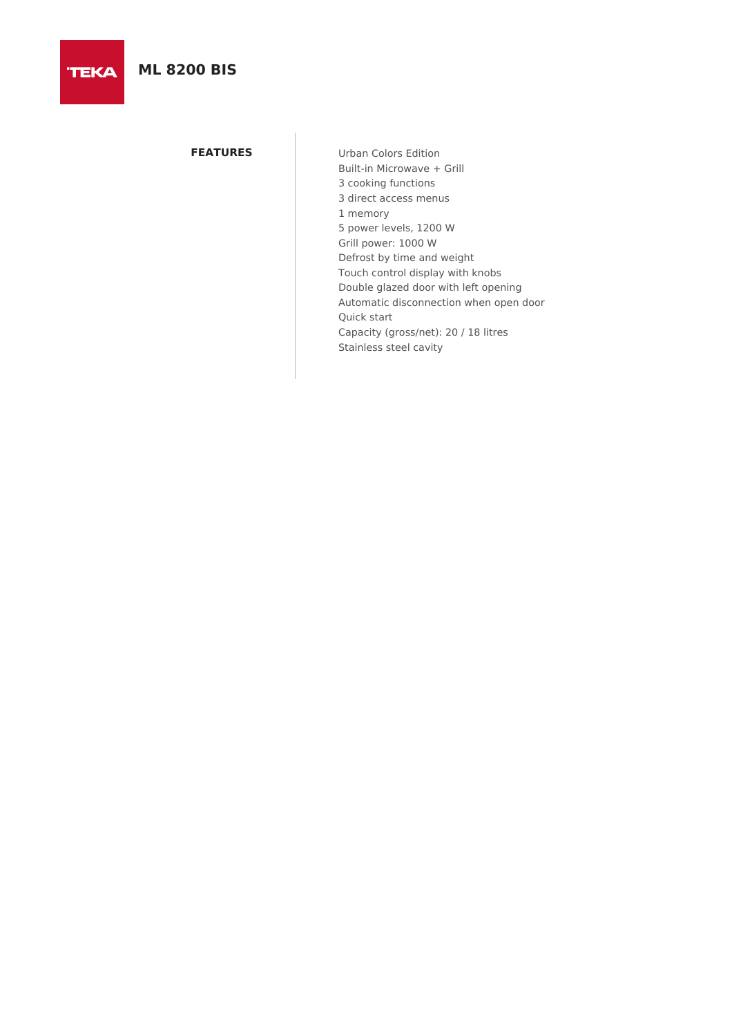**FEATURES** Urban Colors Edition Built-in Microwave + Grill 3 cooking functions 3 direct access menus 1 memory 5 power levels, 1200 W Grill power: 1000 W Defrost by time and weight Touch control display with knobs Double glazed door with left opening Automatic disconnection when open door Quick start Capacity (gross/net): 20 / 18 litres Stainless steel cavity